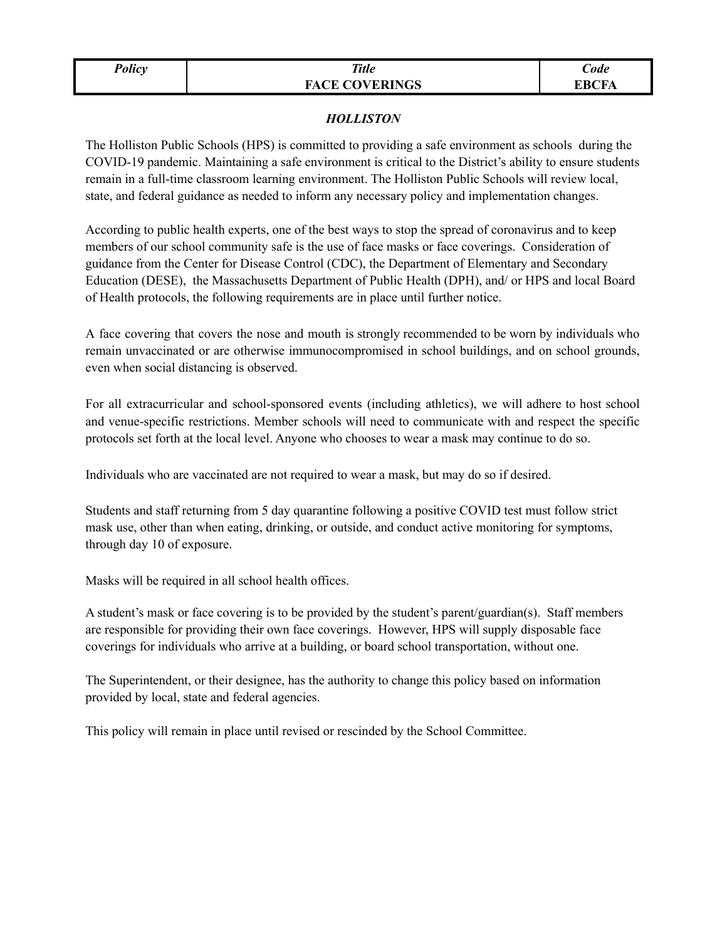| ווח |
|-----|
|-----|

## *Policy Title* **FACE COVERINGS**

## *HOLLISTON*

The Holliston Public Schools (HPS) is committed to providing a safe environment as schools during the COVID-19 pandemic. Maintaining a safe environment is critical to the District's ability to ensure students remain in a full-time classroom learning environment. The Holliston Public Schools will review local, state, and federal guidance as needed to inform any necessary policy and implementation changes.

According to public health experts, one of the best ways to stop the spread of coronavirus and to keep members of our school community safe is the use of face masks or face coverings. Consideration of guidance from the Center for Disease Control (CDC), the Department of Elementary and Secondary Education (DESE), the Massachusetts Department of Public Health (DPH), and/ or HPS and local Board of Health protocols, the following requirements are in place until further notice.

A face covering that covers the nose and mouth is strongly recommended to be worn by individuals who remain unvaccinated or are otherwise immunocompromised in school buildings, and on school grounds, even when social distancing is observed.

For all extracurricular and school-sponsored events (including athletics), we will adhere to host school and venue-specific restrictions. Member schools will need to communicate with and respect the specific protocols set forth at the local level. Anyone who chooses to wear a mask may continue to do so.

Individuals who are vaccinated are not required to wear a mask, but may do so if desired.

Students and staff returning from 5 day quarantine following a positive COVID test must follow strict mask use, other than when eating, drinking, or outside, and conduct active monitoring for symptoms, through day 10 of exposure.

Masks will be required in all school health offices.

A student's mask or face covering is to be provided by the student's parent/guardian(s). Staff members are responsible for providing their own face coverings. However, HPS will supply disposable face coverings for individuals who arrive at a building, or board school transportation, without one.

The Superintendent, or their designee, has the authority to change this policy based on information provided by local, state and federal agencies.

This policy will remain in place until revised or rescinded by the School Committee.